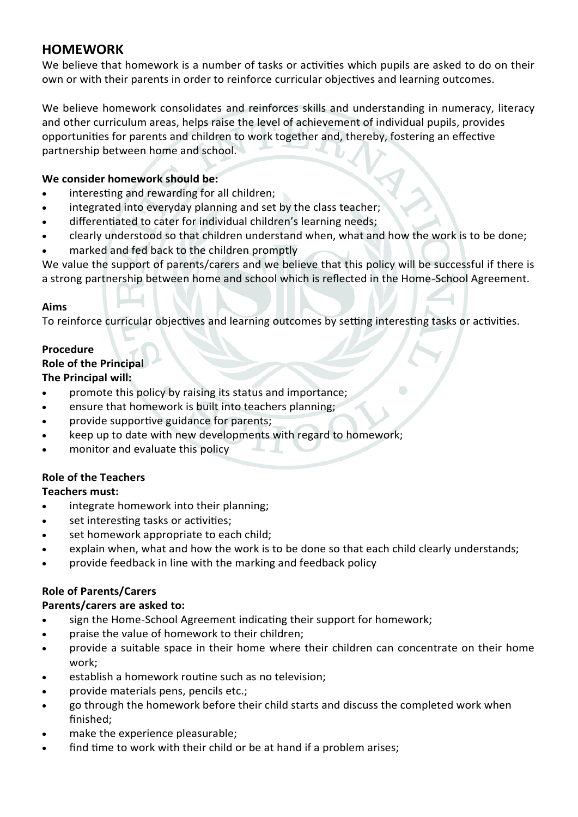# **HOMEWORK**

We believe that homework is a number of tasks or activities which pupils are asked to do on their own or with their parents in order to reinforce curricular objectives and learning outcomes.

We believe homework consolidates and reinforces skills and understanding in numeracy, literacy and other curriculum areas, helps raise the level of achievement of individual pupils, provides opportunities for parents and children to work together and, thereby, fostering an effective partnership between home and school.

# **We consider homework should be:**

- interesting and rewarding for all children;
- integrated into everyday planning and set by the class teacher;
- differentiated to cater for individual children's learning needs;
- clearly understood so that children understand when, what and how the work is to be done;
- marked and fed back to the children promptly

We value the support of parents/carers and we believe that this policy will be successful if there is a strong partnership between home and school which is reflected in the Home-School Agreement.

# **Aims**

To reinforce curricular objectives and learning outcomes by setting interesting tasks or activities.

# **Procedure**

# **Role of the Principal**

# **The Principal will:**

- promote this policy by raising its status and importance;
- ensure that homework is built into teachers planning;
- provide supportive guidance for parents;
- keep up to date with new developments with regard to homework;
- monitor and evaluate this policy

# **Role of the Teachers**

# **Teachers must:**

- integrate homework into their planning;
- set interesting tasks or activities;
- set homework appropriate to each child;
- explain when, what and how the work is to be done so that each child clearly understands;
- provide feedback in line with the marking and feedback policy

# **Role of Parents/Carers**

# **Parents/carers are asked to:**

- sign the Home-School Agreement indicating their support for homework;
- praise the value of homework to their children;
- provide a suitable space in their home where their children can concentrate on their home work;
- establish a homework routine such as no television;
- provide materials pens, pencils etc.;
- go through the homework before their child starts and discuss the completed work when finished;
- make the experience pleasurable;
- find time to work with their child or be at hand if a problem arises;